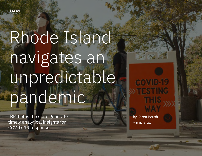

## Rhode Island navigates an unpredictable pandemic

IBM helps the state generate timely analytical insights for COVID-19 response

**COVID-19** 

by Karen Boush 9-minute read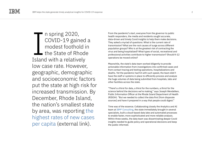IBM helps the state generate timely analytical insights for COVID-19 response 2

n spring 2020, COVID-19 gained a modest foothold in  $\blacksquare$  the State of Rhode Island with a relatively low case rate. However, geographic, demographic and socioeconomic factors put the state at high risk for increased transmission. By December, Rhode Island, the nation's smallest state by area, was reporting [the](https://www.nytimes.com/2020/12/09/world/the-virus-spreads-at-wildfire-speed-in-tiny-rhode-island-surpassing-rates-of-new-cases-elsewhere.html)  [highest rates of new cases](https://www.nytimes.com/2020/12/09/world/the-virus-spreads-at-wildfire-speed-in-tiny-rhode-island-surpassing-rates-of-new-cases-elsewhere.html)  [per capita](https://www.nytimes.com/2020/12/09/world/the-virus-spreads-at-wildfire-speed-in-tiny-rhode-island-surpassing-rates-of-new-cases-elsewhere.html) (external link). I I Spring 2020,<br>
I Spring 2020,<br>
COVID-19 gained a the pandemic's start, everyone from the governor to public<br>
rhealth responders, the media and residents sought accurate,<br>
The start is the current rate of<br>
modest foothol

health responders, the media and residents sought accurate, data-driven and timely Covid insights to help them make decisions. They asked a myriad of questions: What is the current rate of transmission? What are the root causes of surge across different population groups? Who is at the greatest risk of contracting the virus and being hospitalized? What types of social, recreational and professional activities contribute to higher transmission? Should K-12 operations be moved online?

Meanwhile, the state's data team worked diligently to provide actionable information from investigations into confirmed cases and from contact tracing and testing operations, hospitalizations and deaths. Yet the pandemic had hit with such speed, the team didn't have the staff or systems in place to efficiently process and analyze the huge volumes of data being submitted from hospitals, labs and other facilities across the state.

"There's a thirst for data, a thirst for the numbers, a thirst for the science behind the decisions we're making," says Joseph Wendelken, Public Information Officer at the Rhode Island Department of Health (RIDOH). "But we needed to collect the data first [from disparate sources] and have it prepared in a way that people could digest."

Time was of the essence. Collaborating closely the Analytics and AI team at [IBM® Consulting](https://www.ibm.com/services/data-analytics), the state immediately brought in several specialists, built a cloud-based data lake and automated processes to enable faster, more sophisticated and more reliable analysis. Within three weeks, the data team was disseminating deeper Covid insights needed to guide policy and operational decisions and keep the public informed.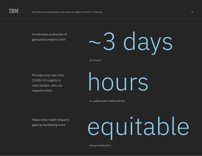Accelerates production of geospatial analytics from

## ~3 days

to 4 hours

Provides near real-time COVID-19 insights to state leaders, who can respond within

hours

to update public health policies

gaps by facilitating more

# Helps close health disparity<br>gaps by facilitating more

resource allocation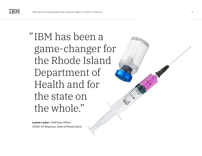#### "IBM has been a game-changer for the Rhode Island Department of Health and for the state on the whole."

**Leanne Lasher**, Chief Data Officer, COVID-19 Response, State of Rhode Island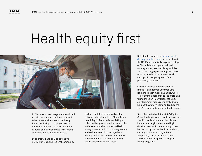#### Health equity first



RIDOH was in many ways well-positioned to help the state respond to a pandemic. It had a national reputation for being forward-thinking. It employed worldrenowned infectious disease and other experts, and it collaborated with leading academic and research institutes.

In addition, it had built an extensive network of local and regional community

partners and then capitalized on that network to help launch the Rhode Island Health Equity Zone initiative. Taking a collaborative, place-based approach, the initiative established statewide Health Equity Zones in which community leaders and residents could come together to identify and address the socioeconomic and environmental conditions driving health disparities in their areas.

Still, Rhode Island is the [second most](https://worldpopulationreview.com/states/rhode-island-population)  [densely populated state](https://worldpopulationreview.com/states/rhode-island-population) (external link) in the US. Plus, a relatively large percentage of Rhode Island's population lives in nursing homes, assisted living facilities and other congregate settings. For these reasons, Rhode Island was especially susceptible to rapid spread of the potentially deadly virus.

Once Covid cases were detected in Rhode Island, former Governor Gina Raimondo put in motion a unified, wholeof-government response to the crisis. She formed the COVID-19 Response Unit, an interagency organization tasked with helping the state mitigate and reduce the virus's impact and spread in Rhode Island.

She collaborated with the state's Equity Council to help ensure prioritization of the specific needs of communities of color, low-income neighborhoods and highdensity areas, which were among those hardest hit by the pandemic. In addition, she urged citizens to stay at home, temporarily closed all public schools, and initiated widespread tracing and testing programs.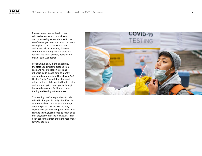Raimondo and her leadership team adopted science- and data-driven decision-making as foundational to the state's emergency response and recovery strategies. "The data on case rates and how Covid is impacting different communities throughout the state are really at the heart of every decision we make," says Wendelken.

For example, early in the pandemic, the state used insights gleaned from case and hospitalization rates and other zip-code-based data to identify impacted communities. Then, leveraging Health Equity Zone relationships and infrastructures, it distributed food, masks and other supplies to people isolating in impacted areas and facilitated contact tracing and testing in those areas.

"Something that's unique about Rhode Island is that people really identify with where they live. It's a very communityoriented place ... So we worked very closely with our Health Equity Zones, with city and town governments, to really build that engagement at the local level. That's been consistent throughout the response," says Wendelken.

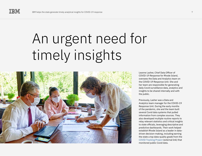### An urgent need for timely insights



Leanne Lasher, Chief Data Officer of COVID-19 Response for Rhode Island, oversees the Data and Analytics team on the COVID-19 Response Unit. She and her team are responsible for generating daily Covid surveillance data, analytics and insights to be shared internally and with the public.

Previously, Lasher was a Data and Analytics team manager for the COVID-19 Response Unit. During the early months of the pandemic, she and the team built several Covid data systems that pulled information from complex sources. They also developed multiple routine reports to relay relevant statistics and critical insights to state officials, leveraging descriptive and predictive dashboards. Their work helped establish Rhode Island as a leader in datadriven decision-making, including earning the state a top data-quality grade from the [COVID Tracking Project](https://covidtracking.com/analysis-updates/the-state-of-the-states-data) (external link) that monitored public Covid data.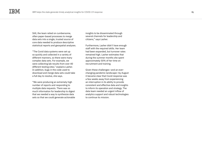Still, the team relied on cumbersome, often paper-based processes to merge data sets into a single, trusted source of core data needed to produce descriptive statistical reports and geospatial analyses.

"The Covid data systems were set up so quickly and collected in a variety of different manners, so there were many complex data sets. For example, we were collecting lab results from over 40 different testing sites," explains Lasher. In addition, bugs in the code used to download and merge data sets could take a full day to resolve, she says.

"We were producing an extremely high number of reports and responding to multiple data requests. There was so much information for leadership to digest that we needed a way to synthesize data sets so that we could generate actionable insights to be disseminated through several channels for leadership and citizens," says Lasher.

Furthermore, Lasher didn't have enough staff with the required skills. Her team had been expanded, but turnover rates remained high. Lasher estimates that during the summer months she spent approximately 50% of her time on recruitment and training.

Given these challenges—and an everchanging pandemic landscape—by August it became clear that Covid response was a few weeks away from experiencing an interruption in its ability to provide consistent and effective data and insights to inform its operation and strategy. The data team needed an urgent inflow of analytics support and robust technologies to continue its mission.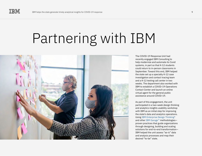### Partnering with IBM



The COVID-19 Response Unit had recently engaged IBM Consulting to help modernize and automate its Covid systems, in part so that K-12 students could return to in-person classrooms in September. Toward this end, IBM helped the state set up a specialty K-12 case investigation and contact tracing team and a K-12 testing call center in two weeks. The department also worked with IBM to establish a COVID-19 Operations Contact Center and launch an online virtual agent for the general public assistance around COVID-19.

As part of this engagement, the unit participated in a two-week design thinking and analytics insights usability workshop with IBM as an initial step for improving the state's data and analytics operations. Using [IBM Enterprise Design Thinking®](https://www.ibm.com/garage/method/practices/think/enterprise-design-thinking) and other [IBM Garage™](https://www.ibm.com/garage) methodologies proven practices that guide organizations through designing, building and scaling solutions for end-to-end transformation— IBM helped the unit assess "as-is" data and analysis processes and map their desired "to-be" state.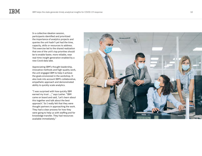In a collective ideation session, participants identified and prioritized the importance of analytics projects and queries the unit hadn't yet had the time, capacity, skills or resources to address. This exercise led to the shared realization that one of the unit's top priorities should be to enable faster, more reliable, near real-time insight generation enabled by a new Covid data lake.

Appreciating IBM's thought leadership, innovative methods and high-quality work, the unit engaged IBM to help it achieve the goals envisioned in the workshop. It also took into account IBM's collaborative, empathetic approach and demonstrated ability to quickly scale analytics.

"I was surprised with how quickly IBM earned my trust …," says Lasher. "IBM came on board and said, 'Let's learn about this together and talk about the best approach.' So I really felt that they were thought partners in approaching the work. They had a clear process for how they were going to help us with staffing and for knowledge transfer. They had resources available immediately."

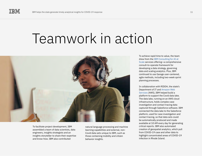#### Teamwork in action



To facilitate project development, IBM assembled a team of data scientists, data engineers, insights strategists and an insights storyteller to share their expertise and know-how. IBM also contributed

natural language processing and machine learning capabilities and external, non-Covid data sets unique to IBM, such as those containing mobility and citizen behavior insights.

To achieve rapid time to value, the team drew from the [IBM Consulting for AI at](https://www.ibm.com/services/artificial-intelligence)  [Scale](https://www.ibm.com/services/artificial-intelligence) services offering—a comprehensive consult-to-operate framework for developing a data strategy, governing data and scaling analytics. Plus, IBM continued to use Garage user-centered, agile methods, including two-week sprint planning processes.

In collaboration with RIDOH, the state's Department of IT and [Amazon Web](https://www.ibm.com/services/cloud/aws)  [Services](https://www.ibm.com/services/cloud/aws) (AWS), IBM helped build a platform to support the Covid data lake. The data lake, running on an AWS cloud infrastructure, holds complex case investigation and contact tracing data captured through Salesforce software. IBM connected the data lake to the Salesforce platform, used for case investigation and contact tracing, so that data sets could be automatically produced and made available at 10 AM every day for generating critical reports. IBM also automated creation of geospatial analytics, which pull from COVID-19 case and other data to highlight concentrated areas of COVID-19 infection in Rhode Island.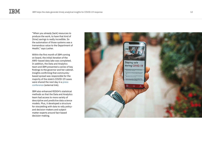"When you already [lack] resources to produce the work, to have that kind of [time] savings is really incredible. So the automation of those systems was a tremendous value to the Department of Health," says Lasher.

Within the first month of IBM coming on board, the initial iteration of the AWS–based data lake was completed. In addition, the Data and Analytics team and IBM presented a series of key findings to the governor and her cabinet. Insights confirming that communitybased spread was responsible for the majority of the state's COVID-19 cases were shared the next day in a [press](https://turnto10.com/news/local/ridoh-says-data-backs-up-claims-on-how-covid-19-is-spreading-in-rhode-island)  [conference](https://turnto10.com/news/local/ridoh-says-data-backs-up-claims-on-how-covid-19-is-spreading-in-rhode-island) (external link).

IBM also enhanced RIDOH's statistical methods so that the Data and Analytics team had access to more variety of descriptive and predictive data science models. Plus, it developed a structure for storytelling with data to rally policyand decision-makers and subject matter experts around fact-based decision-making.

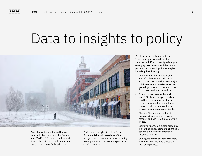#### Data to insights to policy



With the winter months and holiday season fast approaching, the governor and COVID-19 Response leaders next turned their attention to the anticipated surge in infections. To help translate

Covid data to insights to policy, former Governor Raimondo asked one of the Analytics and AI leaders at IBM Consulting to temporarily join her leadership team as chief data officer.

For the next several months, Rhode Island principals worked shoulder to shoulder with IBM to identify existing and emerging data patterns and then put in place appropriate mitigation strategies, including the following:

- Implementing the "Rhode Island Pause," a three-week period in late 2020 when the state shut down major public events and curtailed other social gatherings to help slow recent spikes in Covid cases and hospitalizations.
- Prioritizing vaccine distribution in early 2021 based on age, preexisting conditions, geographic location and other variables so that limited vaccine supplies could be optimized to help prevent hospitalizations and deaths.
- Allocating testing and treatment resources based on transmission hotspots and near real-time emerging trends.
- Identifying pandemic-fueled disparities in health and healthcare and prioritizing equitable allocation of emergency response services.
- Guiding the state's economic recovery, including when and where to apply restrictive policies.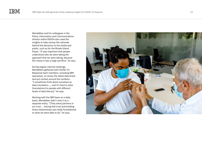Wendelken and his colleagues in the Policy, Information and Communications division within RIDOH also used the insights to help convey the rationale behind the decisions to the media and public, such as for the Rhode Island Pause. "It was important that people understood why we were taking the approach that we were taking, because [for many] it was a huge sacrifice," he says.

During regular internal meetings, Wendelken gathered with COVID-19 Response team members, including IBM specialists, to review the latest data briefs and put context around the numbers. "I sometimes think about ourselves as data translators …, and it's hard to tailor [translations] to people with different levels of data literacy," he says.

Working with the IBM team on a daily basis, Wendelken didn't view it as a separate entity. "[They were] partners in our trust ... Having that trust and building those relationships was really foundational to what we were able to do," he says.

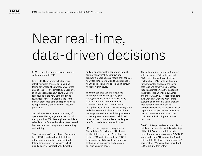#### Near real-time, data-driven decisions

RIDOH benefited in several ways from its collaboration with IBM.

First, RIDOH can perform faster, more effective insight generation, including taking advantage of external data sources unique to IBM. For example, some reports, such as geospatial analytics, that used to take four days are now generated in as few as four hours. In addition, the team quickly processed data and reported on up to approximately one million test results per month.

Second, RIDOH can ensure continuity of operations. Having augmented its staff with the right mix of IBM data engineers and data scientists, the Data and Analytics team saved hours of time previously spent on recruiting and training.

Third, with an AWS cloud-based Covid data lake, RIDOH can help the state deliver a robust and systematic response. Rhode Island leaders now have access to high quality, easy-to-comprehend, digestible

and actionable insights generated through complex analytical, descriptive and predictive modeling. As a result, they can use near real-time information to update public health policies and Rhode Island citizens, if needed, within hours.

The state can also use the insights to better address health disparity gaps through effective allocation of vaccines, tests, treatments and other supplies to the hardest-hit areas, in the process strengthening its ties with Health Equity Zone and other community leaders. In addition, it can empower residents with insights needed to better protect themselves, their loved ones and their communities, especially as new Covid variants appear and spread.

"IBM has been a game-changer for the Rhode Island Department of Health and for the state on the whole," emphasizes Lasher. IBM made it possible for RIDOH to approach analytics with not only new technologies, processes and data sets but also a new mindset.

The collaboration continues. Teaming with the state's IT department and AWS, with whom it has a strategic partnership, IBM is helping the state further develop and scale the Covid data lake and streamline processes though automation. As the pandemic transitions into an endemic, Lasher and other COVID-19 Response leaders also anticipate working with IBM to evaluate and define data and analytics requirements for a new phase of response focused on recovery. Areas of potential analysis include the impact of COVID-19 on mental health and socioeconomic development within the state.

COVID-19 Response leaders also plan to build and run models that take advantage of the state's and other data sets to predict future scenarios around COVID-19 infection trends. "The amount of Covid data that [RIDOH] has is tremendous …," says Lasher. "We would love to work with IBM to dig into that data."